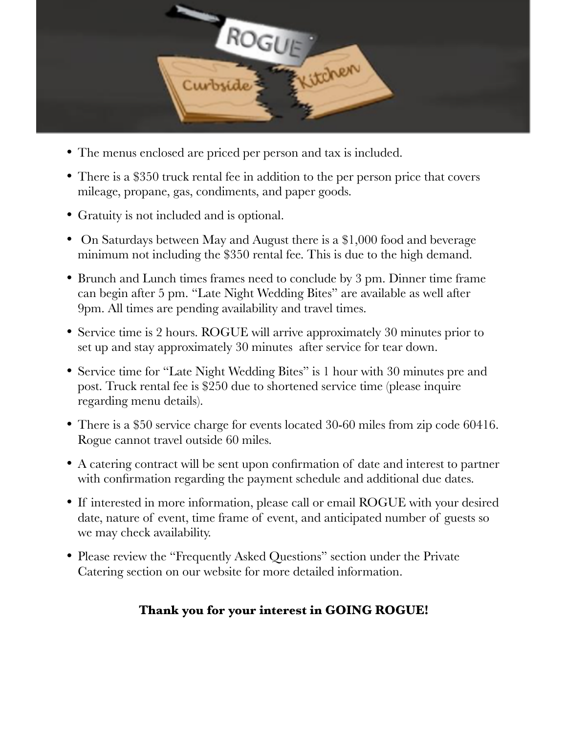

- The menus enclosed are priced per person and tax is included.
- There is a \$350 truck rental fee in addition to the per person price that covers mileage, propane, gas, condiments, and paper goods.
- Gratuity is not included and is optional.
- On Saturdays between May and August there is a \$1,000 food and beverage minimum not including the \$350 rental fee. This is due to the high demand.
- Brunch and Lunch times frames need to conclude by 3 pm. Dinner time frame can begin after 5 pm. "Late Night Wedding Bites" are available as well after 9pm. All times are pending availability and travel times.
- Service time is 2 hours. ROGUE will arrive approximately 30 minutes prior to set up and stay approximately 30 minutes after service for tear down.
- Service time for "Late Night Wedding Bites" is 1 hour with 30 minutes pre and post. Truck rental fee is \$250 due to shortened service time (please inquire regarding menu details).
- There is a \$50 service charge for events located 30-60 miles from zip code 60416. Rogue cannot travel outside 60 miles.
- A catering contract will be sent upon confirmation of date and interest to partner with confirmation regarding the payment schedule and additional due dates.
- If interested in more information, please call or email ROGUE with your desired date, nature of event, time frame of event, and anticipated number of guests so we may check availability.
- Please review the "Frequently Asked Questions" section under the Private Catering section on our website for more detailed information.

## **Thank you for your interest in GOING ROGUE!**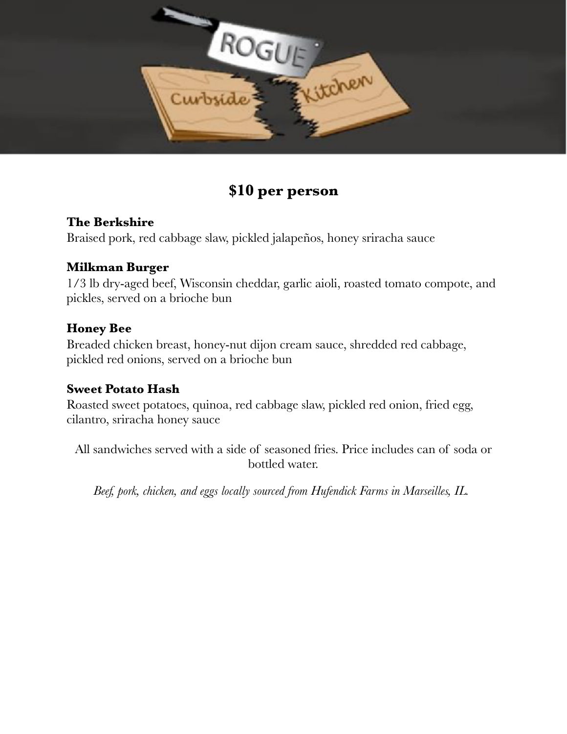

# **\$10 per person**

## **The Berkshire**

Braised pork, red cabbage slaw, pickled jalapeños, honey sriracha sauce

#### **Milkman Burger**

1/3 lb dry-aged beef, Wisconsin cheddar, garlic aioli, roasted tomato compote, and pickles, served on a brioche bun

#### **Honey Bee**

Breaded chicken breast, honey-nut dijon cream sauce, shredded red cabbage, pickled red onions, served on a brioche bun

## **Sweet Potato Hash**

Roasted sweet potatoes, quinoa, red cabbage slaw, pickled red onion, fried egg, cilantro, sriracha honey sauce

All sandwiches served with a side of seasoned fries. Price includes can of soda or bottled water.

*Beef, pork, chicken, and eggs locally sourced from Hufendick Farms in Marseilles, IL.*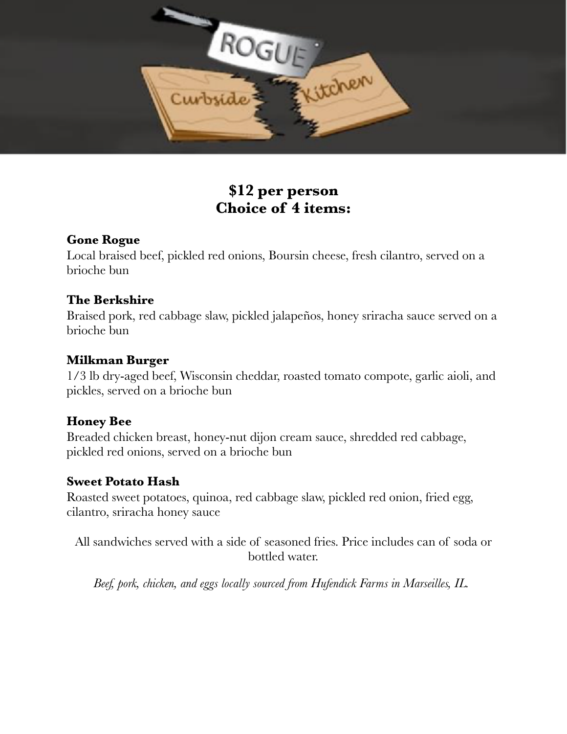

# **\$12 per person Choice of 4 items:**

## **Gone Rogue**

Local braised beef, pickled red onions, Boursin cheese, fresh cilantro, served on a brioche bun

#### **The Berkshire**

Braised pork, red cabbage slaw, pickled jalapeños, honey sriracha sauce served on a brioche bun

#### **Milkman Burger**

1/3 lb dry-aged beef, Wisconsin cheddar, roasted tomato compote, garlic aioli, and pickles, served on a brioche bun

## **Honey Bee**

Breaded chicken breast, honey-nut dijon cream sauce, shredded red cabbage, pickled red onions, served on a brioche bun

#### **Sweet Potato Hash**

Roasted sweet potatoes, quinoa, red cabbage slaw, pickled red onion, fried egg, cilantro, sriracha honey sauce

All sandwiches served with a side of seasoned fries. Price includes can of soda or bottled water.

*Beef, pork, chicken, and eggs locally sourced from Hufendick Farms in Marseilles, IL.*